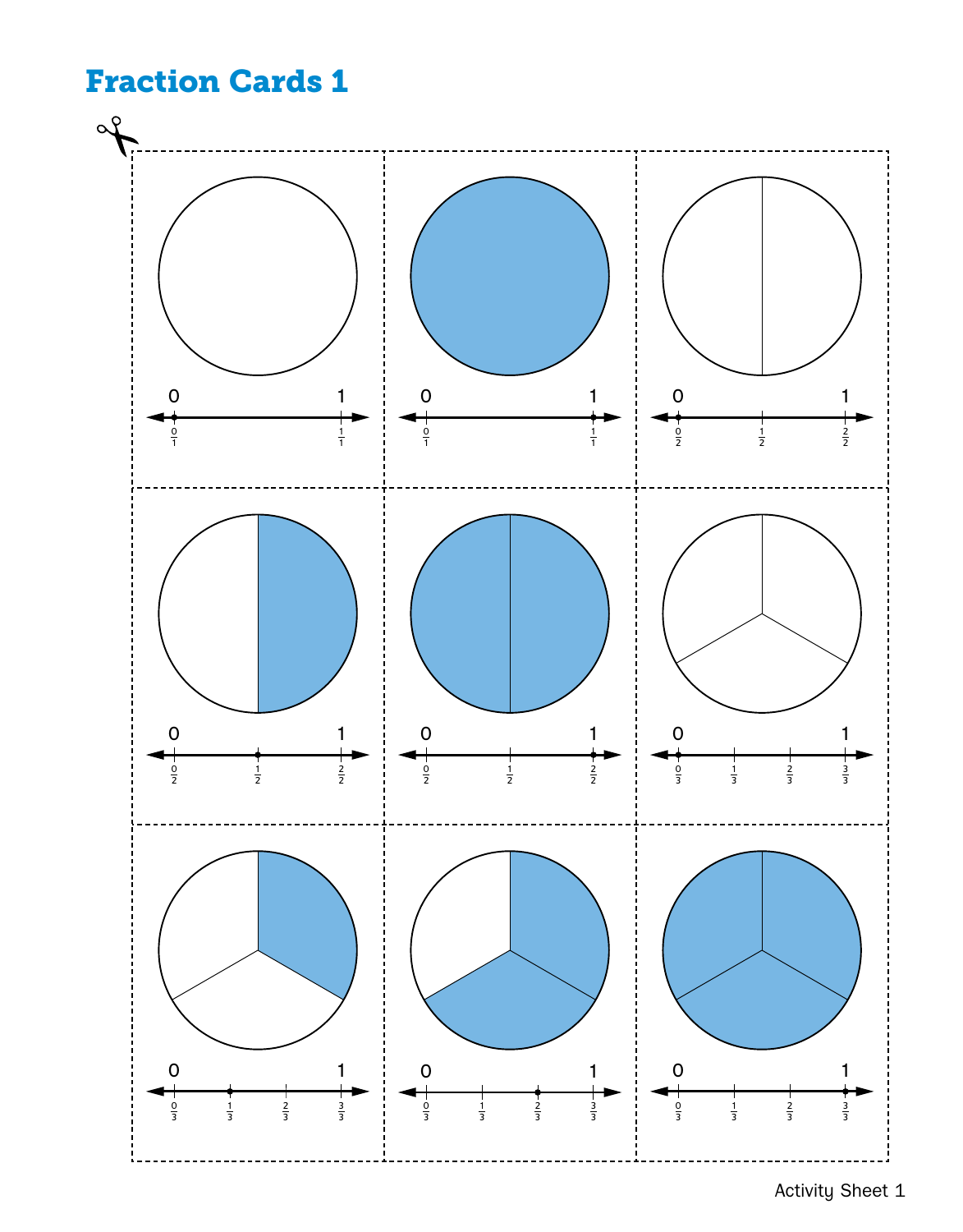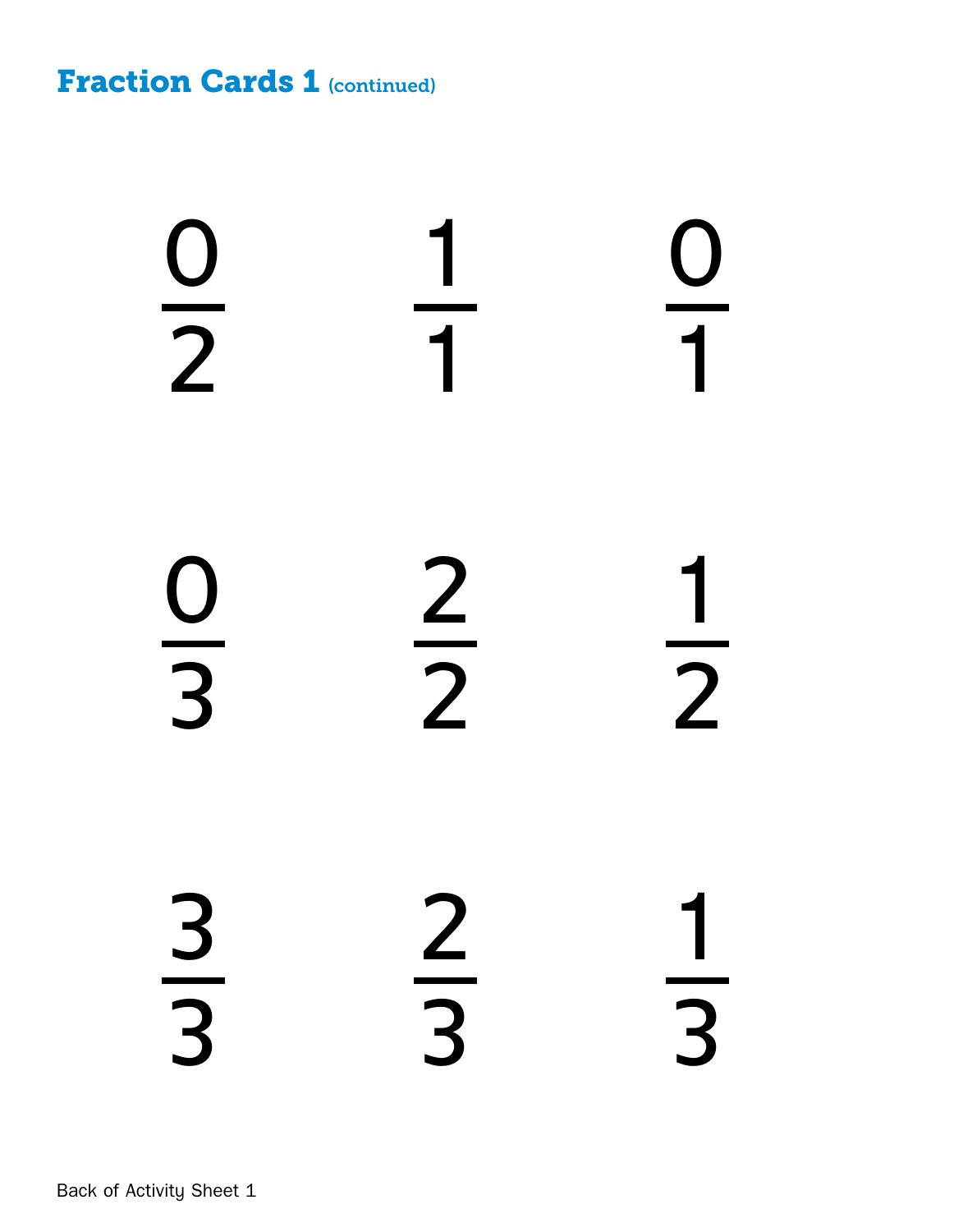**Fraction Cards 1 (continued)**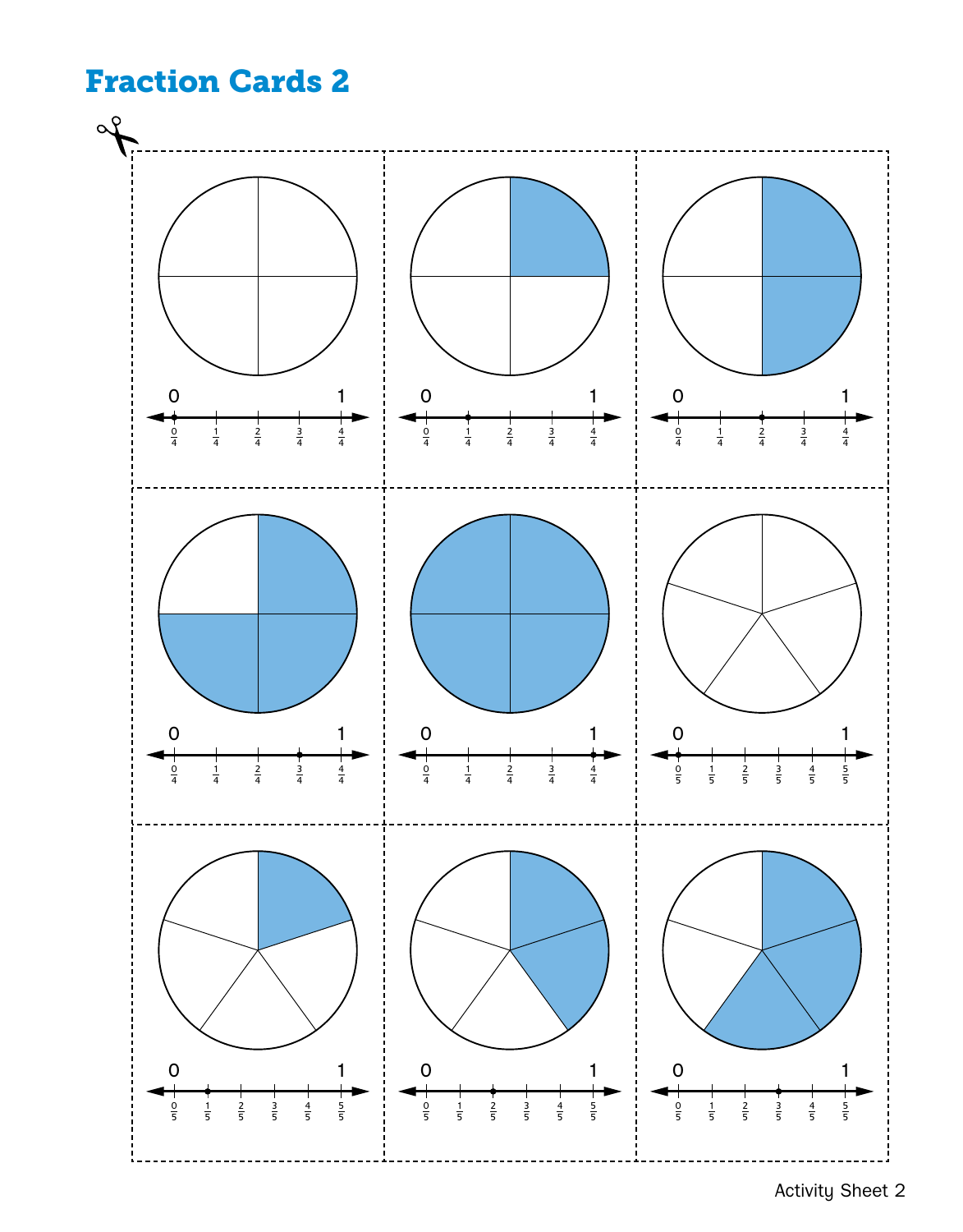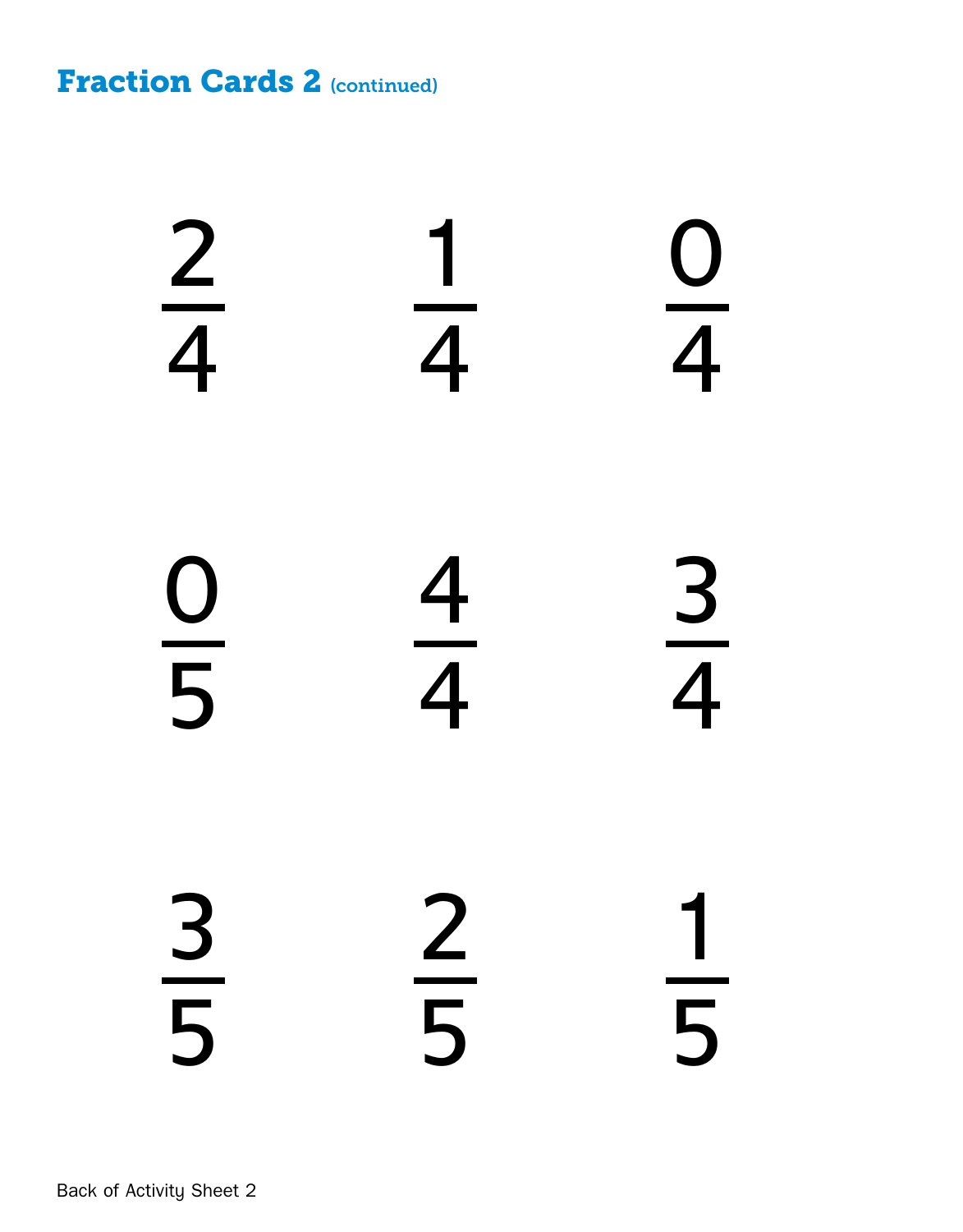**Fraction Cards 2 (continued)** 

Back of Activity Sheet 2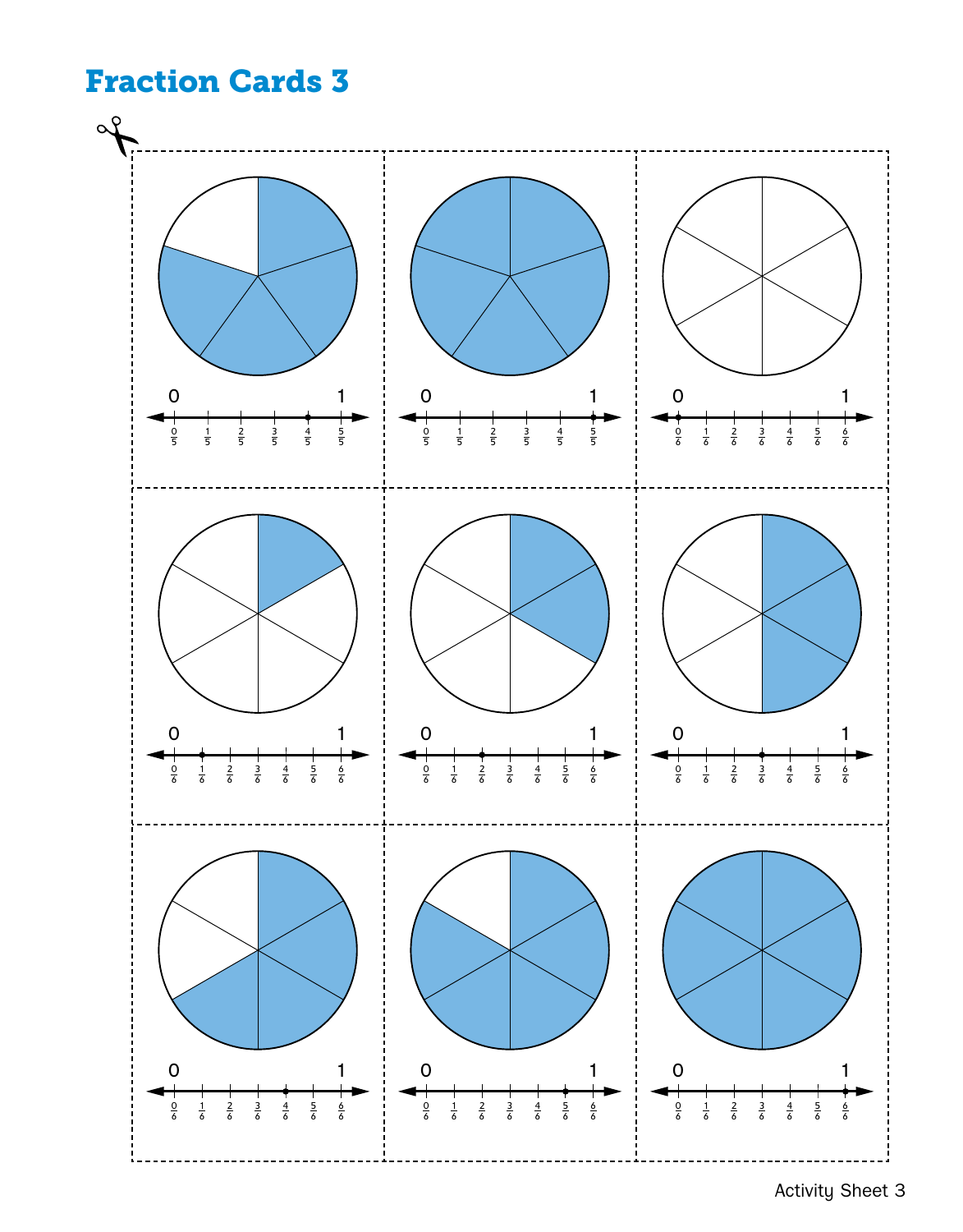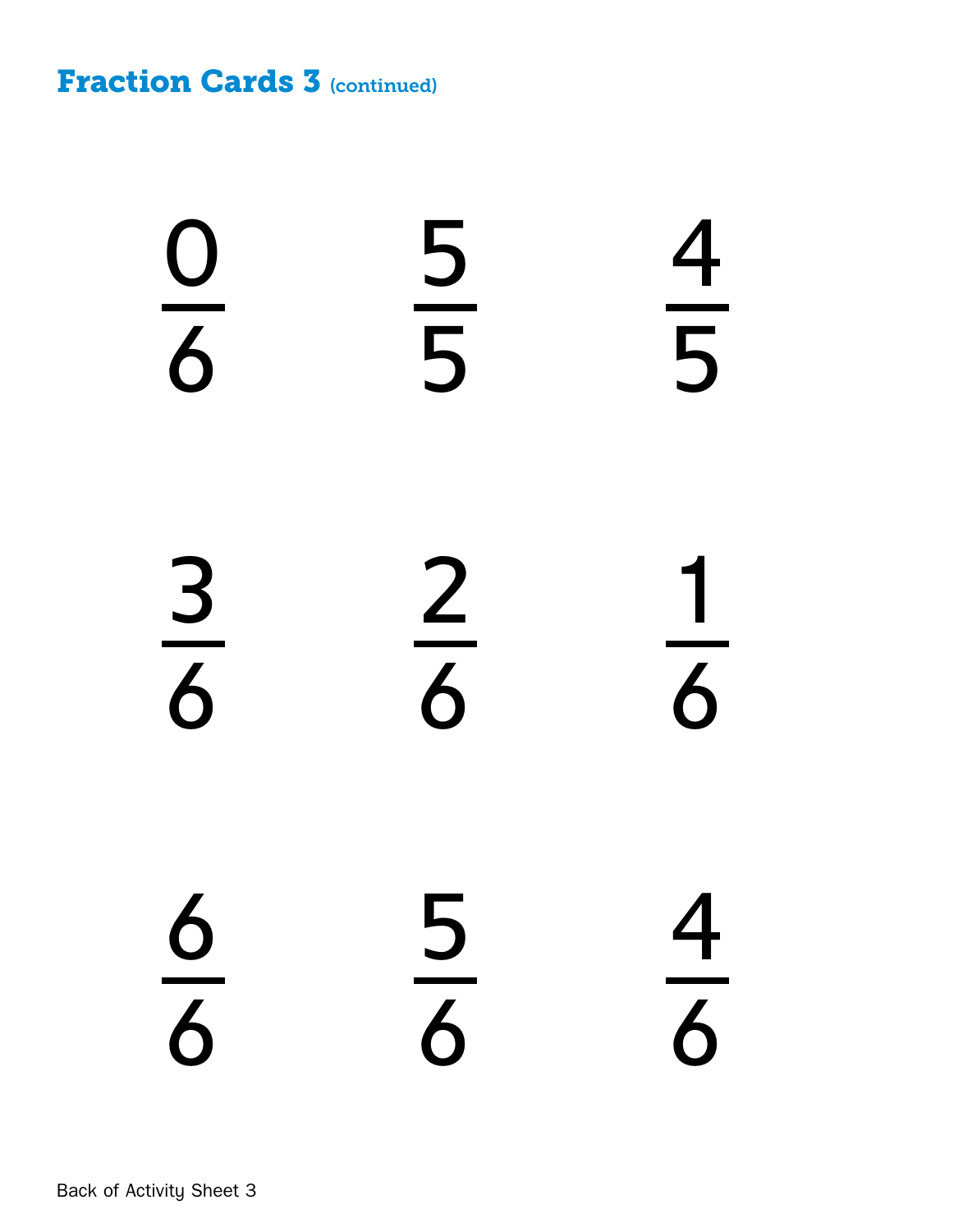**Fraction Cards 3 (continued)**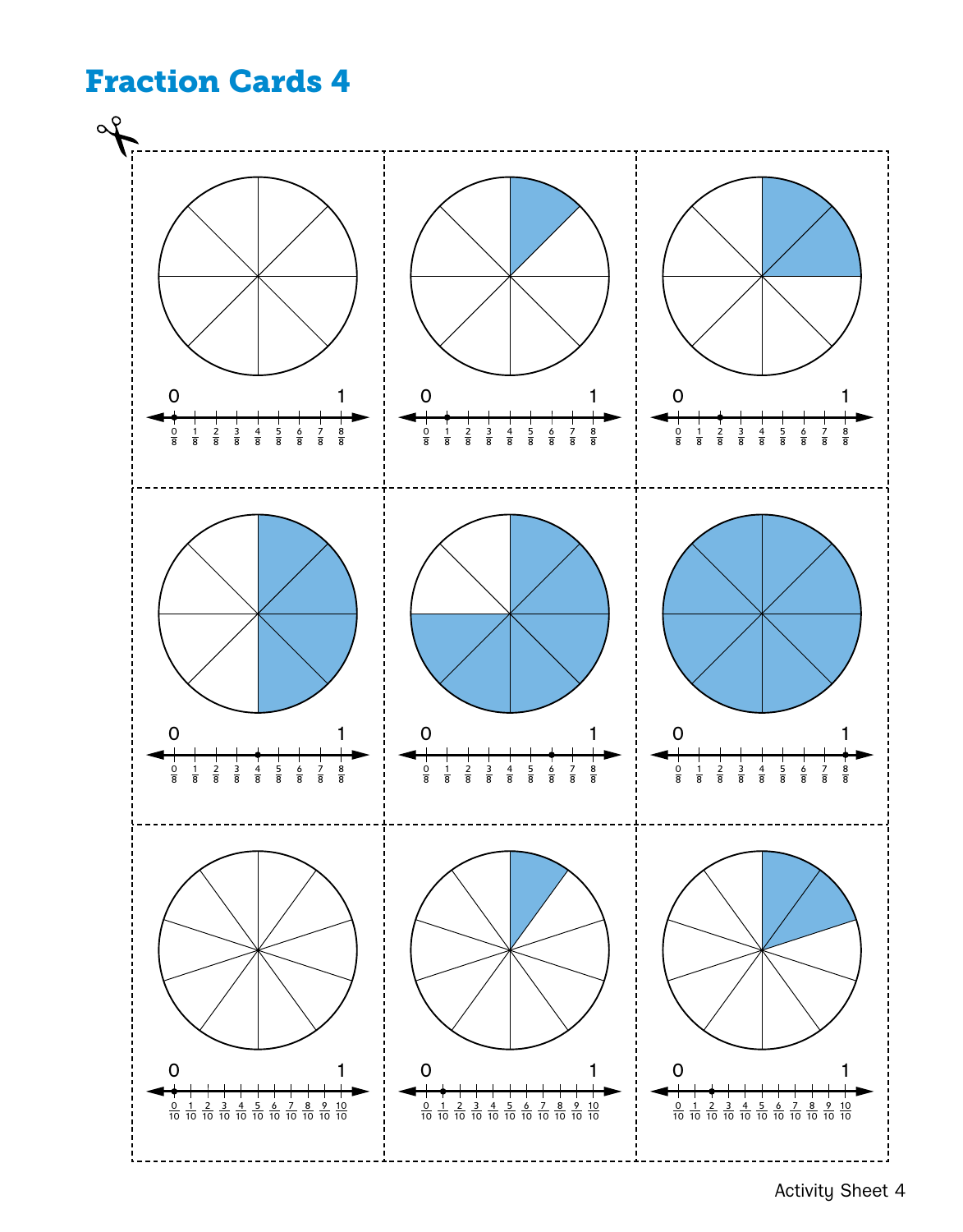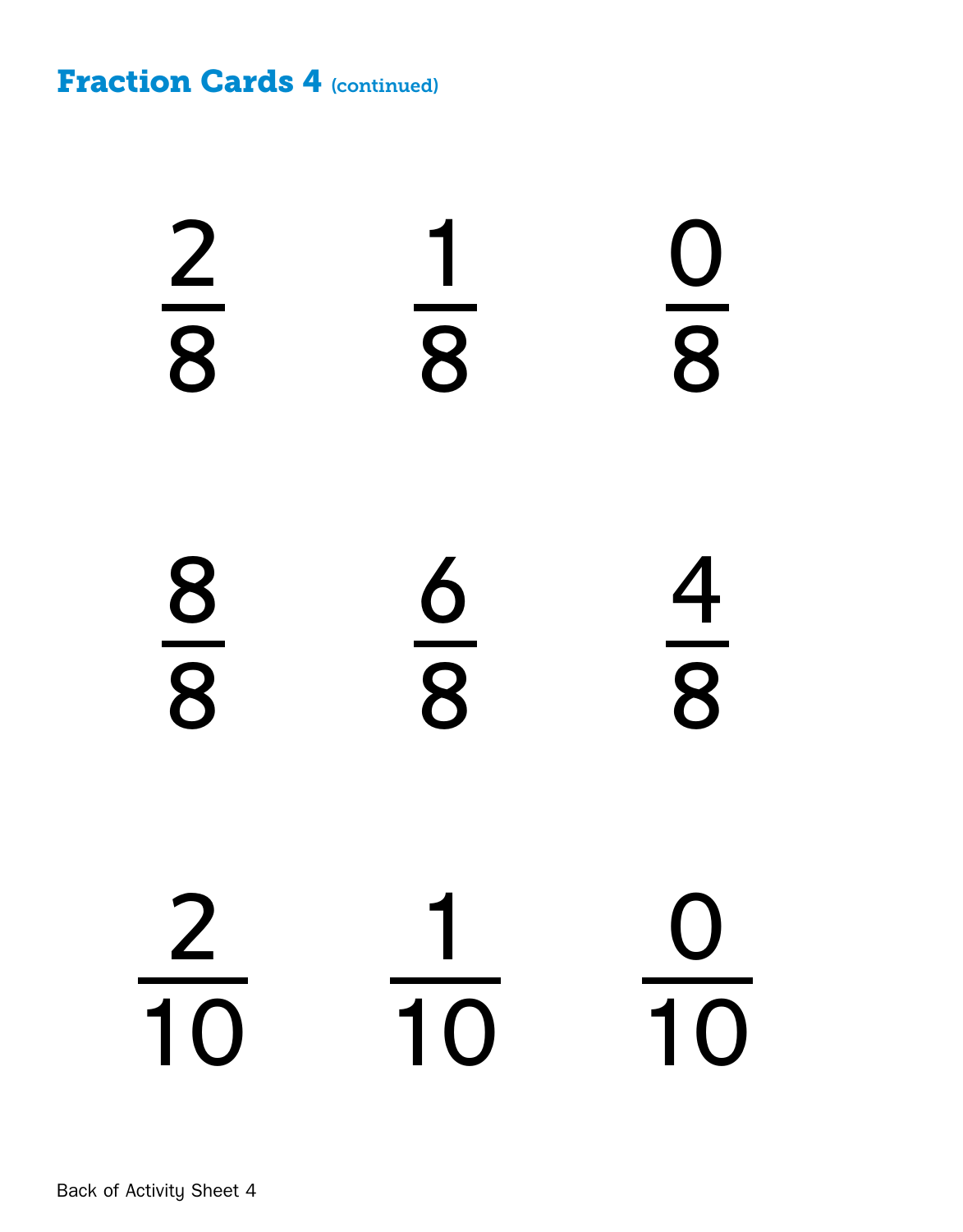**Fraction Cards 4 (continued)**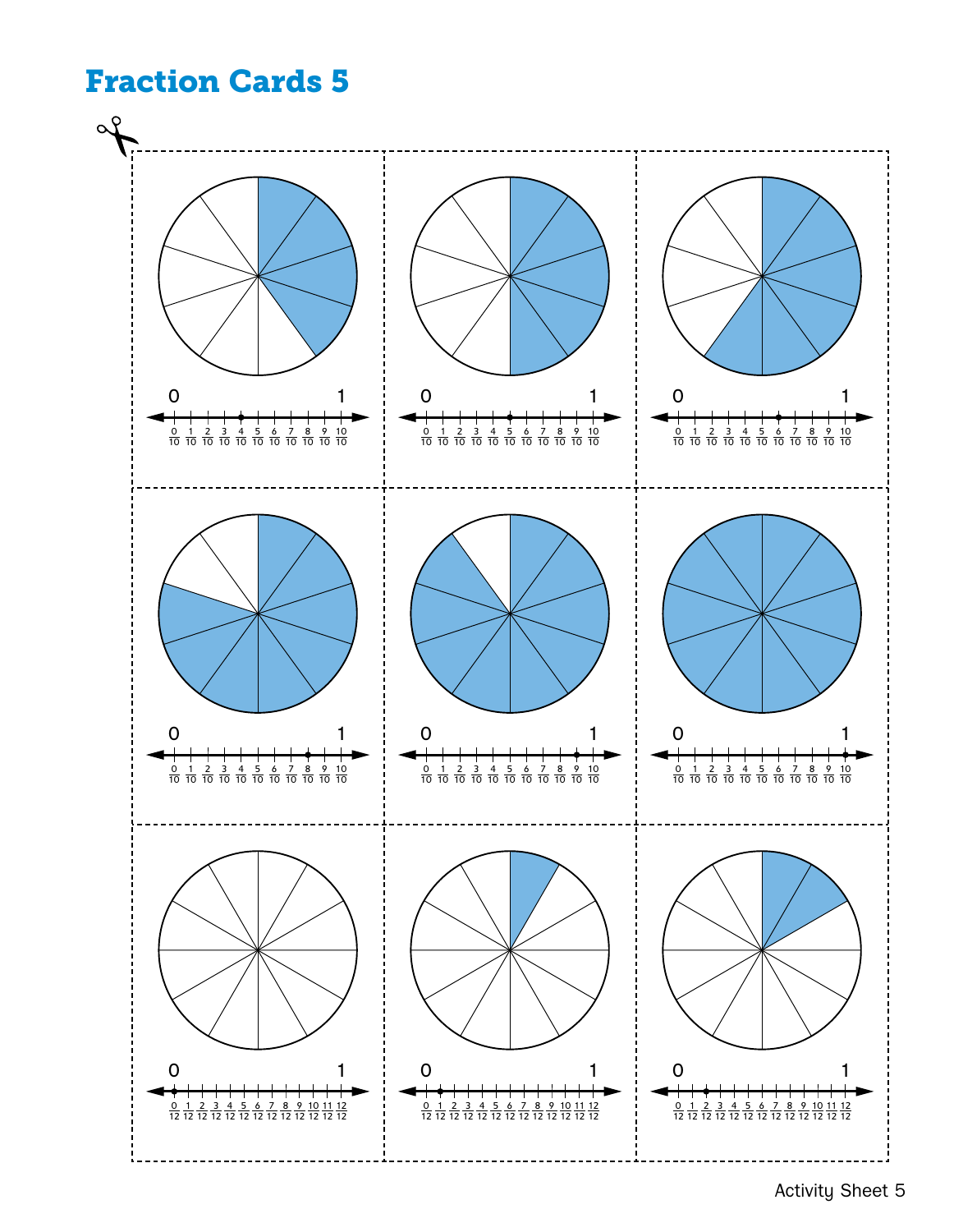

Activity Sheet 5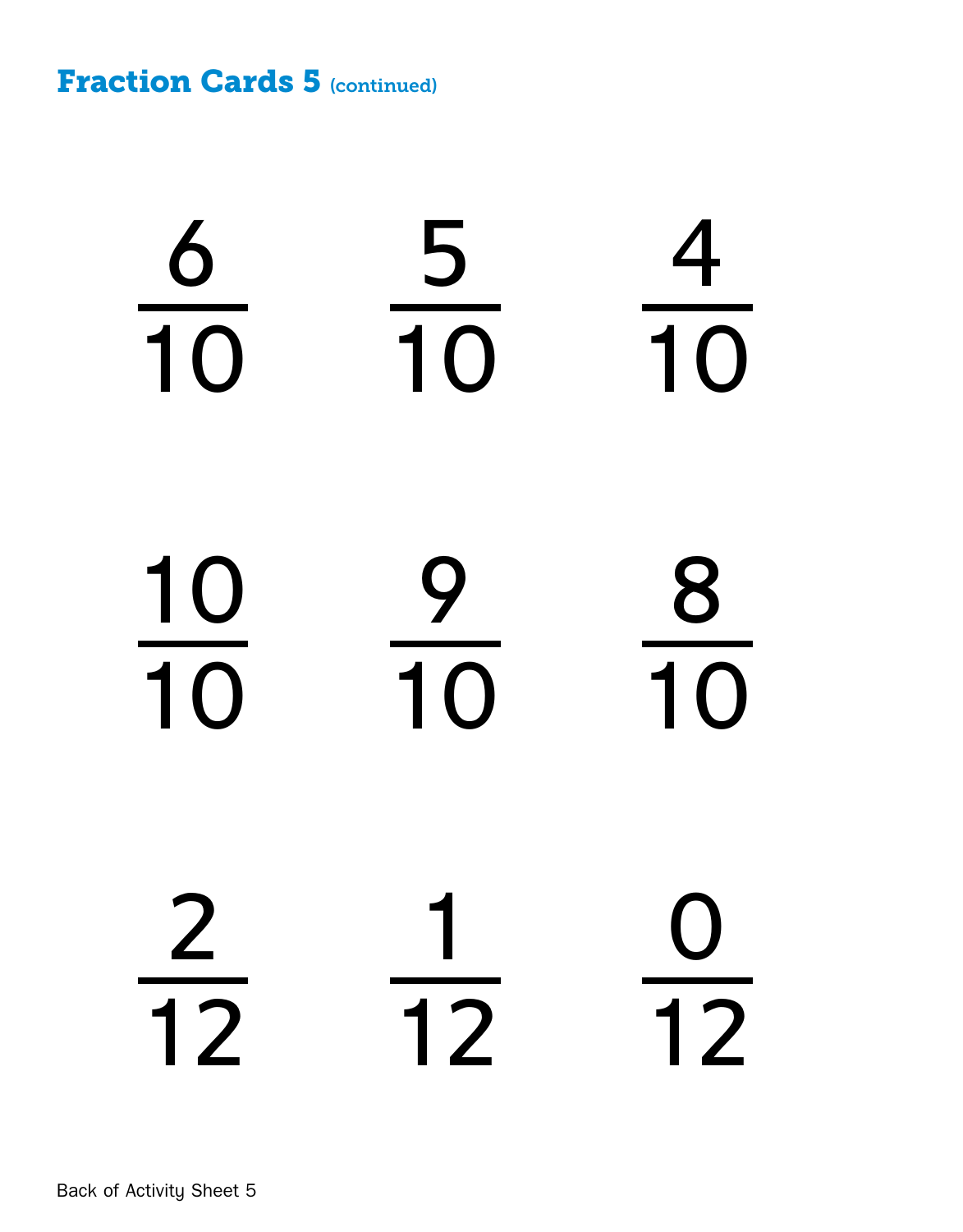**Fraction Cards 5 (continued)** 

Back of Activity Sheet 5  $m$  sheet  $\sigma$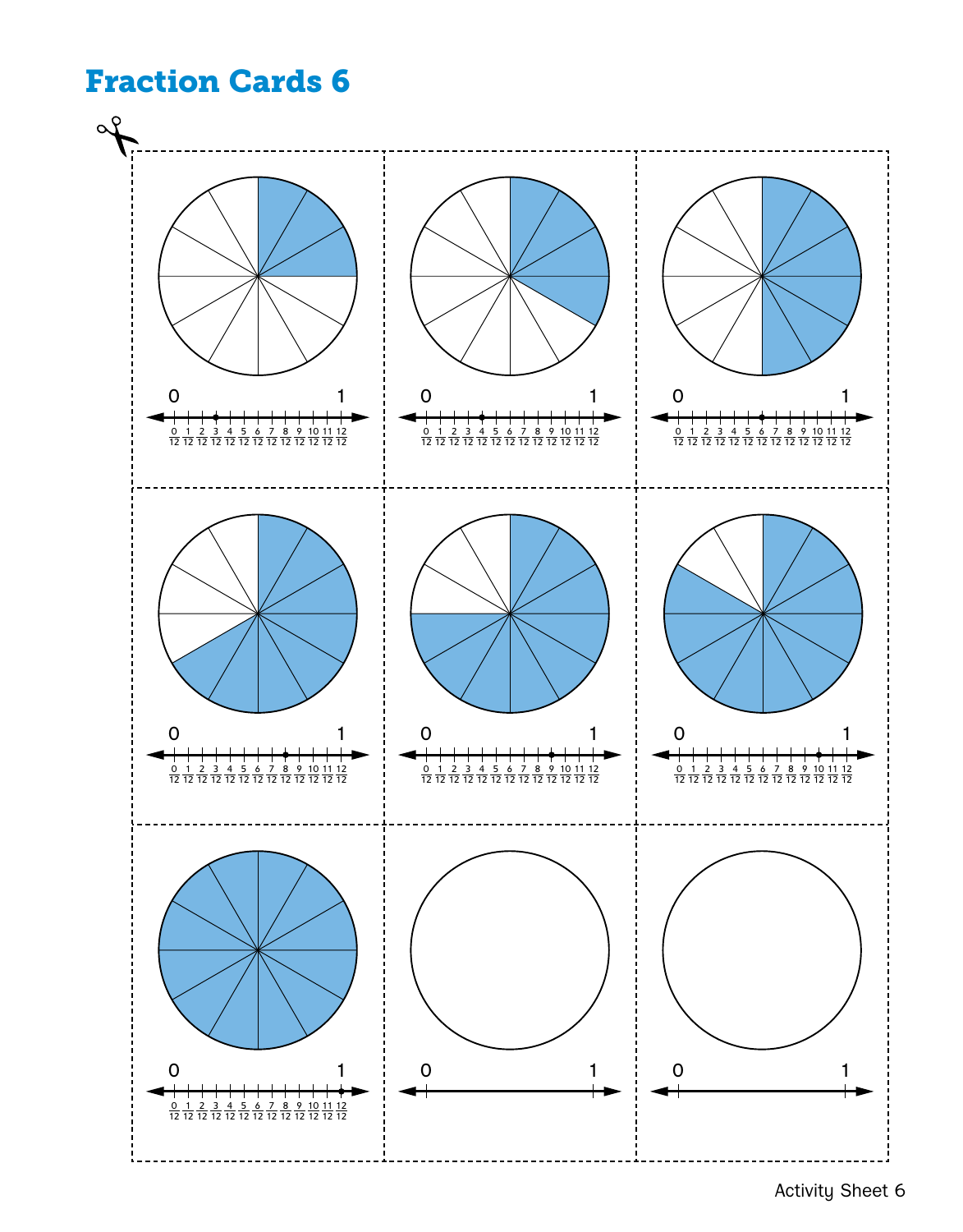

Activity Sheet 6